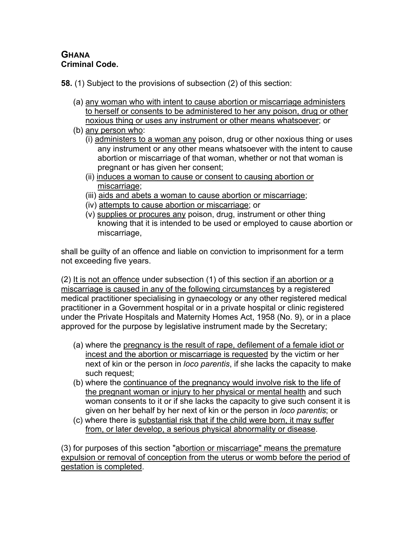## **GHANA Criminal Code.**

**58.** (1) Subject to the provisions of subsection (2) of this section:

- (a) any woman who with intent to cause abortion or miscarriage administers to herself or consents to be administered to her any poison, drug or other noxious thing or uses any instrument or other means whatsoever; or
- (b) any person who:
	- $(i)$  administers to a woman any poison, drug or other noxious thing or uses any instrument or any other means whatsoever with the intent to cause abortion or miscarriage of that woman, whether or not that woman is pregnant or has given her consent;
	- (ii) induces a woman to cause or consent to causing abortion or miscarriage;
	- (iii) aids and abets a woman to cause abortion or miscarriage;
	- (iv) attempts to cause abortion or miscarriage; or
	- (v) supplies or procures any poison, drug, instrument or other thing knowing that it is intended to be used or employed to cause abortion or miscarriage,

shall be guilty of an offence and liable on conviction to imprisonment for a term not exceeding five years.

(2) It is not an offence under subsection (1) of this section if an abortion or a miscarriage is caused in any of the following circumstances by a registered medical practitioner specialising in gynaecology or any other registered medical practitioner in a Government hospital or in a private hospital or clinic registered under the Private Hospitals and Maternity Homes Act, 1958 (No. 9), or in a place approved for the purpose by legislative instrument made by the Secretary;

- (a) where the pregnancy is the result of rape, defilement of a female idiot or incest and the abortion or miscarriage is requested by the victim or her next of kin or the person in *loco parentis*, if she lacks the capacity to make such request;
- (b) where the continuance of the pregnancy would involve risk to the life of the pregnant woman or injury to her physical or mental health and such woman consents to it or if she lacks the capacity to give such consent it is given on her behalf by her next of kin or the person in *loco parentis*; or
- (c) where there is substantial risk that if the child were born, it may suffer from, or later develop, a serious physical abnormality or disease.

(3) for purposes of this section "abortion or miscarriage" means the premature expulsion or removal of conception from the uterus or womb before the period of gestation is completed.